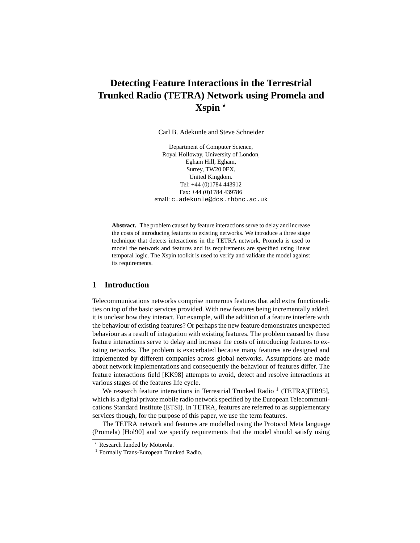# **Detecting Feature Interactions in the Terrestrial Trunked Radio (TETRA) Network using Promela and Xspin** ?

Carl B. Adekunle and Steve Schneider

Department of Computer Science, Royal Holloway, University of London, Egham Hill, Egham, Surrey, TW20 0EX, United Kingdom. Tel: +44 (0)1784 443912 Fax: +44 (0)1784 439786 email: c.adekunle@dcs.rhbnc.ac.uk

**Abstract.** The problem caused by feature interactions serve to delay and increase the costs of introducing features to existing networks. We introduce a three stage technique that detects interactions in the TETRA network. Promela is used to model the network and features and its requirements are specified using linear temporal logic. The Xspin toolkit is used to verify and validate the model against its requirements.

## **1 Introduction**

Telecommunications networks comprise numerous features that add extra functionalities on top of the basic services provided. With new features being incrementally added, it is unclear how they interact. For example, will the addition of a feature interfere with the behaviour of existing features? Or perhaps the new feature demonstrates unexpected behaviour as a result of integration with existing features. The problem caused by these feature interactions serve to delay and increase the costs of introducing features to existing networks. The problem is exacerbated because many features are designed and implemented by different companies across global networks. Assumptions are made about network implementations and consequently the behaviour of features differ. The feature interactions field [KK98] attempts to avoid, detect and resolve interactions at various stages of the features life cycle.

We research feature interactions in Terrestrial Trunked Radio  $<sup>1</sup>$  (TETRA)[TR95],</sup> which is a digital private mobile radio network specified by the European Telecommunications Standard Institute (ETSI). In TETRA, features are referred to as supplementary services though, for the purpose of this paper, we use the term features.

The TETRA network and features are modelled using the Protocol Meta language (Promela) [Hol90] and we specify requirements that the model should satisfy using

<sup>?</sup> Research funded by Motorola.

<sup>&</sup>lt;sup>1</sup> Formally Trans-European Trunked Radio.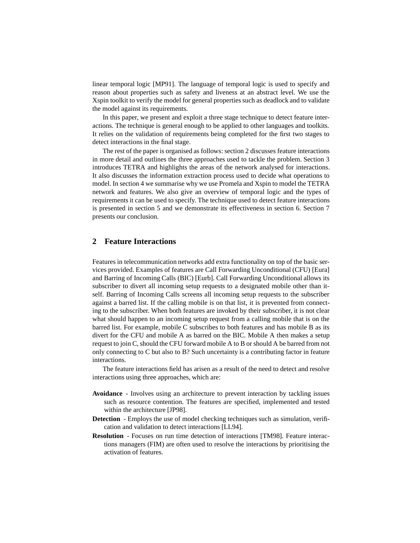linear temporal logic [MP91]. The language of temporal logic is used to specify and reason about properties such as safety and liveness at an abstract level. We use the Xspin toolkit to verify the model for general properties such as deadlock and to validate the model against its requirements.

In this paper, we present and exploit a three stage technique to detect feature interactions. The technique is general enough to be applied to other languages and toolkits. It relies on the validation of requirements being completed for the first two stages to detect interactions in the final stage.

The rest of the paper is organised as follows: section 2 discusses feature interactions in more detail and outlines the three approaches used to tackle the problem. Section 3 introduces TETRA and highlights the areas of the network analysed for interactions. It also discusses the information extraction process used to decide what operations to model. In section 4 we summarise why we use Promela and Xspin to model the TETRA network and features. We also give an overview of temporal logic and the types of requirements it can be used to specify. The technique used to detect feature interactions is presented in section 5 and we demonstrate its effectiveness in section 6. Section 7 presents our conclusion.

## **2 Feature Interactions**

Features in telecommunication networks add extra functionality on top of the basic services provided. Examples of features are Call Forwarding Unconditional (CFU) [Eura] and Barring of Incoming Calls (BIC) [Eurb]. Call Forwarding Unconditional allows its subscriber to divert all incoming setup requests to a designated mobile other than itself. Barring of Incoming Calls screens all incoming setup requests to the subscriber against a barred list. If the calling mobile is on that list, it is prevented from connecting to the subscriber. When both features are invoked by their subscriber, it is not clear what should happen to an incoming setup request from a calling mobile that is on the barred list. For example, mobile C subscribes to both features and has mobile B as its divert for the CFU and mobile A as barred on the BIC. Mobile A then makes a setup request to join C, should the CFU forward mobile A to B or should A be barred from not only connecting to C but also to B? Such uncertainty is a contributing factor in feature interactions.

The feature interactions field has arisen as a result of the need to detect and resolve interactions using three approaches, which are:

- **Avoidance** Involves using an architecture to prevent interaction by tackling issues such as resource contention. The features are specified, implemented and tested within the architecture [JP98].
- **Detection** Employs the use of model checking techniques such as simulation, verification and validation to detect interactions [LL94].
- **Resolution** Focuses on run time detection of interactions [TM98]. Feature interactions managers (FIM) are often used to resolve the interactions by prioritising the activation of features.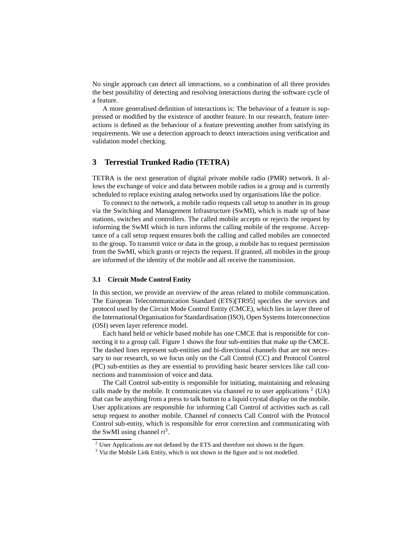No single approach can detect all interactions, so a combination of all three provides the best possibility of detecting and resolving interactions during the software cycle of a feature.

A more generalised definition of interactions is: The behaviour of a feature is suppressed or modified by the existence of another feature. In our research, feature interactions is defined as the behaviour of a feature preventing another from satisfying its requirements. We use a detection approach to detect interactions using verification and validation model checking.

## **3 Terrestial Trunked Radio (TETRA)**

TETRA is the next generation of digital private mobile radio (PMR) network. It allows the exchange of voice and data between mobile radios in a group and is currently scheduled to replace existing analog networks used by organisations like the police.

To connect to the network, a mobile radio requests call setup to another in its group via the Switching and Management Infrastructure (SwMI), which is made up of base stations, switches and controllers. The called mobile accepts or rejects the request by informing the SwMI which in turn informs the calling mobile of the response. Acceptance of a call setup request ensures both the calling and called mobiles are connected to the group. To transmit voice or data in the group, a mobile has to request permission from the SwMI, which grants or rejects the request. If granted, all mobiles in the group are informed of the identity of the mobile and all receive the transmission.

#### **3.1 Circuit Mode Control Entity**

In this section, we provide an overview of the areas related to mobile communication. The European Telecommunication Standard (ETS)[TR95] specifies the services and protocol used by the Circuit Mode Control Entity (CMCE), which lies in layer three of the International Organisation for Standardisation (ISO), Open Systems Interconnection (OSI) seven layer reference model.

Each hand held or vehicle based mobile has one CMCE that is responsible for connecting it to a group call. Figure 1 shows the four sub-entities that make up the CMCE. The dashed lines represent sub-entities and bi-directional channels that are not necessary to our research, so we focus only on the Call Control (CC) and Protocol Control (PC) sub-entities as they are essential to providing basic bearer services like call connections and transmission of voice and data.

The Call Control sub-entity is responsible for initiating, maintaining and releasing calls made by the mobile. It communicates via channel  $ra$  to user applications  $2$  (UA) that can be anything from a press to talk button to a liquid crystal display on the mobile. User applications are responsible for informing Call Control of activities such as call setup request to another mobile. Channel *rd* connects Call Control with the Protocol Control sub-entity, which is responsible for error correction and communicating with the SwMI using channel *ri*3.

<sup>&</sup>lt;sup>2</sup> User Applications are not defined by the ETS and therefore not shown in the figure.

<sup>&</sup>lt;sup>3</sup> Via the Mobile Link Entity, which is not shown in the figure and is not modelled.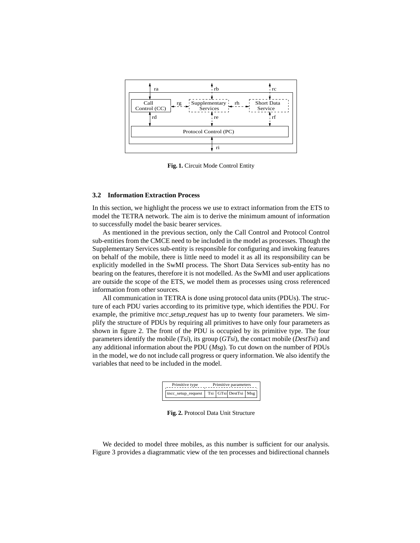

**Fig. 1.** Circuit Mode Control Entity

#### **3.2 Information Extraction Process**

In this section, we highlight the process we use to extract information from the ETS to model the TETRA network. The aim is to derive the minimum amount of information to successfully model the basic bearer services.

As mentioned in the previous section, only the Call Control and Protocol Control sub-entities from the CMCE need to be included in the model as processes. Though the Supplementary Services sub-entity is responsible for configuring and invoking features on behalf of the mobile, there is little need to model it as all its responsibility can be explicitly modelled in the SwMI process. The Short Data Services sub-entity has no bearing on the features, therefore it is not modelled. As the SwMI and user applications are outside the scope of the ETS, we model them as processes using cross referenced information from other sources.

All communication in TETRA is done using protocol data units (PDUs). The structure of each PDU varies according to its primitive type, which identifies the PDU. For example, the primitive *tncc\_setup\_request* has up to twenty four parameters. We simplify the structure of PDUs by requiring all primitives to have only four parameters as shown in figure 2. The front of the PDU is occupied by its primitive type. The four parameters identify the mobile (*Tsi*), its group (*GTsi*), the contact mobile (*DestTsi*) and any additional information about the PDU (*Msg*). To cut down on the number of PDUs in the model, we do not include call progress or query information. We also identify the variables that need to be included in the model.

| Primitive type<br>Primitive parameters |  |  |                        |  |
|----------------------------------------|--|--|------------------------|--|
| tncc_setup_request                     |  |  | $Tsi$ GTsi DestTsi Msg |  |

**Fig. 2.** Protocol Data Unit Structure

We decided to model three mobiles, as this number is sufficient for our analysis. Figure 3 provides a diagrammatic view of the ten processes and bidirectional channels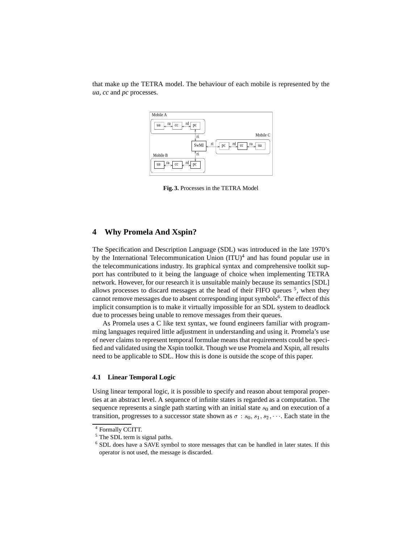that make up the TETRA model. The behaviour of each mobile is represented by the *ua*, *cc* and *pc* processes.



**Fig. 3.** Processes in the TETRA Model

## **4 Why Promela And Xspin?**

The Specification and Description Language (SDL) was introduced in the late 1970's by the International Telecommunication Union  $(ITU)^4$  and has found popular use in the telecommunications industry. Its graphical syntax and comprehensive toolkit support has contributed to it being the language of choice when implementing TETRA network. However, for our research it is unsuitable mainly because its semantics [SDL] allows processes to discard messages at the head of their FIFO queues  $5$ , when they cannot remove messages due to absent corresponding input symbols<sup>6</sup>. The effect of this implicit consumption is to make it virtually impossible for an SDL system to deadlock due to processes being unable to remove messages from their queues.

As Promela uses a C like text syntax, we found engineers familiar with programming languages required little adjustment in understanding and using it. Promela's use of never claims to represent temporal formulae means that requirements could be specified and validated using the Xspin toolkit. Though we use Promela and Xspin, all results need to be applicable to SDL. How this is done is outside the scope of this paper.

#### **4.1 Linear Temporal Logic**

Using linear temporal logic, it is possible to specify and reason about temporal properties at an abstract level. A sequence of infinite states is regarded as a computation. The sequence represents a single path starting with an initial state  $s_0$  and on execution of a transition, progresses to a successor state shown as  $\sigma : s_0, s_1, s_2, \dots$ . Each state in the

<sup>4</sup> Formally CCITT.

 $<sup>5</sup>$  The SDL term is signal paths.</sup>

<sup>&</sup>lt;sup>6</sup> SDL does have a SAVE symbol to store messages that can be handled in later states. If this operator is not used, the message is discarded.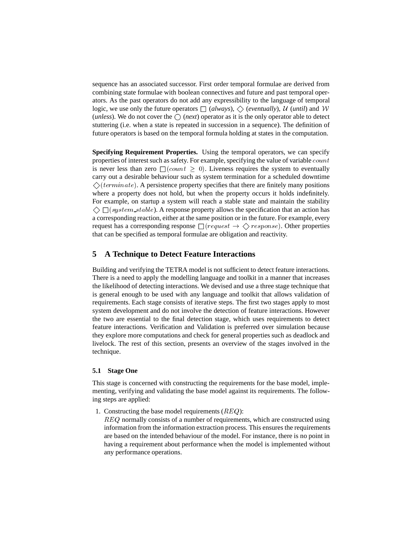sequence has an associated successor. First order temporal formulae are derived from combining state formulae with boolean connectives and future and past temporal operators. As the past operators do not add any expressibility to the language of temporal logic, we use only the future operators  $\Box$  (*always*),  $\Diamond$  (*eventually*), U (*until*) and W (*unless*). We do not cover the  $\bigcap$  (*next*) operator as it is the only operator able to detect stuttering (i.e. when a state is repeated in succession in a sequence). The definition of future operators is based on the temporal formula holding at states in the computation.

**Specifying Requirement Properties.** Using the temporal operators, we can specify properties of interest such as safety. For example, specifying the value of variable count is never less than zero  $\Box$  (*count*  $\geq$  0). Liveness requires the system to eventually carry out a desirable behaviour such as system termination for a scheduled downtime  $\Diamond$  (*terminate*). A persistence property specifies that there are finitely many positions where a property does not hold, but when the property occurs it holds indefinitely. For example, on startup a system will reach a stable state and maintain the stability  $\Diamond \Box$  (system\_stable). A response property allows the specification that an action has a corresponding reaction, either at the same position or in the future. For example, every request has a corresponding response  $\Box$  (request  $\rightarrow \Diamond$  response). Other properties that can be specified as temporal formulae are obligation and reactivity.

## **5 A Technique to Detect Feature Interactions**

Building and verifying the TETRA model is not sufficient to detect feature interactions. There is a need to apply the modelling language and toolkit in a manner that increases the likelihood of detecting interactions. We devised and use a three stage technique that is general enough to be used with any language and toolkit that allows validation of requirements. Each stage consists of iterative steps. The first two stages apply to most system development and do not involve the detection of feature interactions. However the two are essential to the final detection stage, which uses requirements to detect feature interactions. Verification and Validation is preferred over simulation because they explore more computations and check for general properties such as deadlock and livelock. The rest of this section, presents an overview of the stages involved in the technique.

## **5.1 Stage One**

This stage is concerned with constructing the requirements for the base model, implementing, verifying and validating the base model against its requirements. The following steps are applied:

1. Constructing the base model requirements  $(REQ)$ :

 $REQ$  normally consists of a number of requirements, which are constructed using information from the information extraction process. This ensures the requirements are based on the intended behaviour of the model. For instance, there is no point in having a requirement about performance when the model is implemented without any performance operations.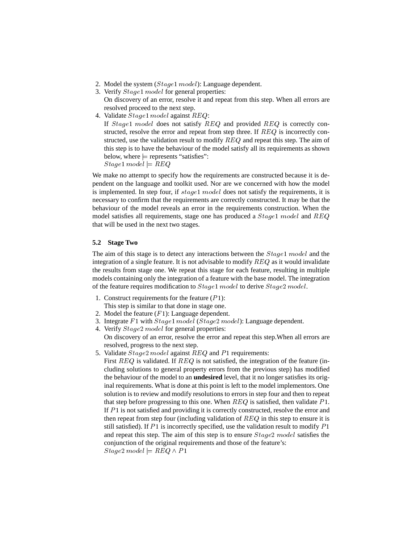- 2. Model the system  $(Stage1 \ model)$ : Language dependent.
- 3. Verify *Stage1* model for general properties: On discovery of an error, resolve it and repeat from this step. When all errors are resolved proceed to the next step.
- 4. Validate  $Stage1 \ model$  against  $REQ$ : If Stage1 model does not satisfy  $REQ$  and provided  $REQ$  is correctly constructed, resolve the error and repeat from step three. If REQ is incorrectly constructed, use the validation result to modify  $REG$  and repeat this step. The aim of this step is to have the behaviour of the model satisfy all its requirements as shown below, where  $=$  represents "satisfies":  $Stage1 \ model \models REQ$

We make no attempt to specify how the requirements are constructed because it is dependent on the language and toolkit used. Nor are we concerned with how the model is implemented. In step four, if stage1 model does not satisfy the requirements, it is necessary to confirm that the requirements are correctly constructed. It may be that the behaviour of the model reveals an error in the requirements construction. When the model satisfies all requirements, stage one has produced a  $Stage1 \ model$  and  $REG$ that will be used in the next two stages.

#### **5.2 Stage Two**

The aim of this stage is to detect any interactions between the *Stage1 model* and the integration of a single feature. It is not advisable to modify  $REQ$  as it would invalidate the results from stage one. We repeat this stage for each feature, resulting in multiple models containing only the integration of a feature with the base model. The integration of the feature requires modification to  $Stage1$  model to derive  $Stage2$  model.

- 1. Construct requirements for the feature  $(P1)$ : This step is similar to that done in stage one.
- 2. Model the feature  $(F1)$ : Language dependent.
- 3. Integrate  $F1$  with  $Stage1$  model ( $Stage2$  model): Language dependent.
- 4. Verify  $Stage2$  model for general properties: On discovery of an error, resolve the error and repeat this step.When all errors are resolved, progress to the next step.
- 5. Validate  $Stage2 \ model$  against  $REG$  and  $P1$  requirements:

First  $REQ$  is validated. If  $REQ$  is not satisfied, the integration of the feature (including solutions to general property errors from the previous step) has modified the behaviour of the model to an **undesired** level, that it no longer satisfies its original requirements. What is done at this point is left to the model implementors. One solution is to review and modify resolutions to errors in step four and then to repeat that step before progressing to this one. When  $REQ$  is satisfied, then validate  $P1$ . If  $P_1$  is not satisfied and providing it is correctly constructed, resolve the error and then repeat from step four (including validation of  $REG$  in this step to ensure it is still satisfied). If  $P1$  is incorrectly specified, use the validation result to modify  $P1$ and repeat this step. The aim of this step is to ensure  $Stage2 \ model$  satisfies the conjunction of the original requirements and those of the feature's:

 $Stage2 \ model \models REQ \land P1$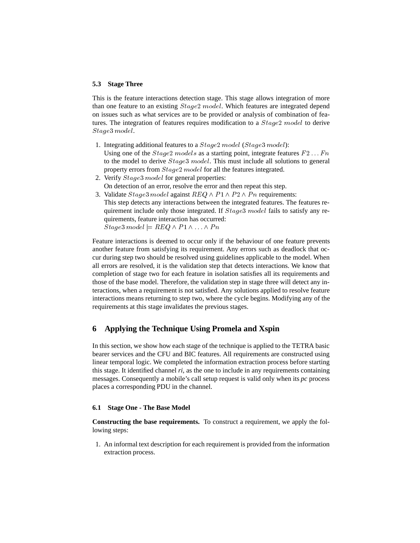## **5.3 Stage Three**

This is the feature interactions detection stage. This stage allows integration of more than one feature to an existing  $Stage2 \ model$ . Which features are integrated depend on issues such as what services are to be provided or analysis of combination of features. The integration of features requires modification to a  $St a q e 2 model$  to derive Stage3 model.

- 1. Integrating additional features to a  $Stage2 \ model$  (Stage3 model): Using one of the  $Stage$  models as a starting point, integrate features  $F2...Fn$ to the model to derive  $Stage3 \ model$ . This must include all solutions to general property errors from  $Stage2 model$  for all the features integrated.
- 2. Verify Stage3 model for general properties: On detection of an error, resolve the error and then repeat this step.
- 3. Validate Stage3 model against  $REQ \wedge P1 \wedge P2 \wedge Pn$  requirements: This step detects any interactions between the integrated features. The features requirement include only those integrated. If  $Stage3 \ model$  fails to satisfy any requirements, feature interaction has occurred:  $Stage3 \ model \models REQ \land P1 \land \ldots \land Pn$

Feature interactions is deemed to occur only if the behaviour of one feature prevents another feature from satisfying its requirement. Any errors such as deadlock that occur during step two should be resolved using guidelines applicable to the model. When all errors are resolved, it is the validation step that detects interactions. We know that completion of stage two for each feature in isolation satisfies all its requirements and those of the base model. Therefore, the validation step in stage three will detect any interactions, when a requirement is not satisfied. Any solutions applied to resolve feature interactions means returning to step two, where the cycle begins. Modifying any of the requirements at this stage invalidates the previous stages.

## **6 Applying the Technique Using Promela and Xspin**

In this section, we show how each stage of the technique is applied to the TETRA basic bearer services and the CFU and BIC features. All requirements are constructed using linear temporal logic. We completed the information extraction process before starting this stage. It identified channel *ri*, as the one to include in any requirements containing messages. Consequently a mobile's call setup request is valid only when its *pc* process places a corresponding PDU in the channel.

## **6.1 Stage One - The Base Model**

**Constructing the base requirements.** To construct a requirement, we apply the following steps:

1. An informal text description for each requirement is provided from the information extraction process.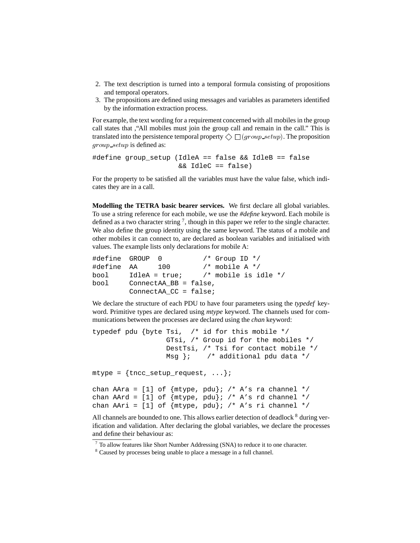- 2. The text description is turned into a temporal formula consisting of propositions and temporal operators.
- 3. The propositions are defined using messages and variables as parameters identified by the information extraction process.

For example, the text wording for a requirement concerned with all mobiles in the group call states that ,"All mobiles must join the group call and remain in the call." This is translated into the persistence temporal property  $\Diamond \Box (group\_setup)$ . The proposition group\_setup is defined as:

#define group\_setup (IdleA == false && IdleB == false  $&\&$  IdleC == false)

For the property to be satisfied all the variables must have the value false, which indicates they are in a call.

**Modelling the TETRA basic bearer services.** We first declare all global variables. To use a string reference for each mobile, we use the *#define* keyword. Each mobile is defined as a two character string  $\frac{7}{7}$ , though in this paper we refer to the single character. We also define the group identity using the same keyword. The status of a mobile and other mobiles it can connect to, are declared as boolean variables and initialised with values. The example lists only declarations for mobile A:

| #define GROUP 0 |                          | $/*$ Group ID $*/$                              |
|-----------------|--------------------------|-------------------------------------------------|
| #define AA      | 100                      | /* mobile A $*/$                                |
|                 |                          | bool     IdleA = true;     /* mobile is idle */ |
| bool            | ConnectAA $BB = false$ , |                                                 |
|                 | ConnectAA $CC = false$   |                                                 |

We declare the structure of each PDU to have four parameters using the *typedef* keyword. Primitive types are declared using *mtype* keyword. The channels used for communications between the processes are declared using the *chan* keyword:

```
typedef pdu {byte Tsi, /* id for this mobile */
                  GTsi, /* Group id for the mobiles */
                  DestTsi, /* Tsi for contact mobile */
                  Msg \}; /* additional pdu data */
mtype = \{tncc\_setup\_request, ... \};
chan AAra = [1] of {mtype, pdu}; /* A's ra channel */
chan AArd = [1] of {mtype, pdu}; /* A's rd channel */
chan AAri = [1] of \{mtype, pdu\}; /* A's ri channel */
```
All channels are bounded to one. This allows earlier detection of deadlock  $8$  during verification and validation. After declaring the global variables, we declare the processes and define their behaviour as:

<sup>7</sup> To allow features like Short Number Addressing (SNA) to reduce it to one character.

<sup>8</sup> Caused by processes being unable to place a message in a full channel.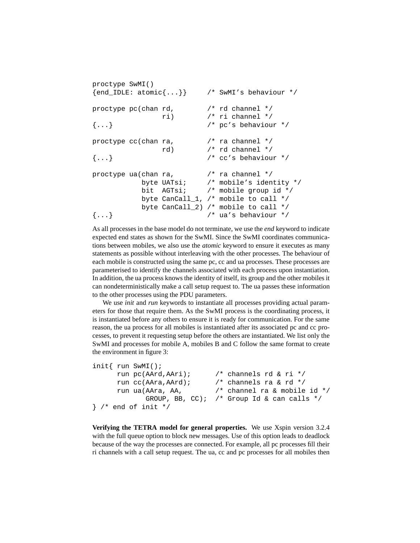```
proctype SwMI()
\{end\_IDLE: atomic{...}\} /* SwMI's behaviour */
proctype pc(chan rd, /* rd channel */
              ri) /* ri channel */
\{ \ldots \} /* pc's behaviour */
proctype cc(chan ra, /* ra channel */
              rd) /* rd channel */
\{\ldots\} /* cc's behaviour */
proctype ua(chan ra, /* ra channel */
          byte UATsi; /* mobile's identity */
          bit AGTsi; /* mobile group id */
          byte CanCall 1, /* mobile to call */byte CanCall_2) /* mobile to call */
\{ \ldots \} /* ua's behaviour */
```
As all processes in the base model do not terminate, we use the *end* keyword to indicate expected end states as shown for the SwMI. Since the SwMI coordinates communications between mobiles, we also use the *atomic* keyword to ensure it executes as many statements as possible without interleaving with the other processes. The behaviour of each mobile is constructed using the same pc, cc and ua processes. These processes are parameterised to identify the channels associated with each process upon instantiation. In addition, the ua process knows the identity of itself, its group and the other mobiles it can nondeterministically make a call setup request to. The ua passes these information to the other processes using the PDU parameters.

We use *init* and *run* keywords to instantiate all processes providing actual parameters for those that require them. As the SwMI process is the coordinating process, it is instantiated before any others to ensure it is ready for communication. For the same reason, the ua process for all mobiles is instantiated after its associated pc and cc processes, to prevent it requesting setup before the others are instantiated. We list only the SwMI and processes for mobile A, mobiles B and C follow the same format to create the environment in figure 3:

```
init{ run SwMI();
     run pc(AArd,AAri); /* channels rd & ri */
     run cc(AAra,AArd); /* channels ra & rd */
     run ua(AAra, AA, /* channel ra & mobile id */
            GROUP, BB, CC); /* Group Id & can calls */
} /* end of init */
```
**Verifying the TETRA model for general properties.** We use Xspin version 3.2.4 with the full queue option to block new messages. Use of this option leads to deadlock because of the way the processes are connected. For example, all pc processes fill their ri channels with a call setup request. The ua, cc and pc processes for all mobiles then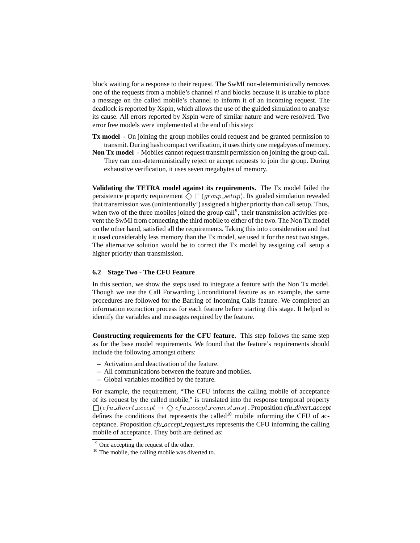block waiting for a response to their request. The SwMI non-deterministically removes one of the requests from a mobile's channel *ri* and blocks because it is unable to place a message on the called mobile's channel to inform it of an incoming request. The deadlock is reported by Xspin, which allows the use of the guided simulation to analyse its cause. All errors reported by Xspin were of similar nature and were resolved. Two error free models were implemented at the end of this step:

- **Tx model** On joining the group mobiles could request and be granted permission to transmit. During hash compact verification, it uses thirty one megabytes of memory.
- **Non Tx model** Mobiles cannot request transmit permission on joining the group call. They can non-deterministically reject or accept requests to join the group. During exhaustive verification, it uses seven megabytes of memory.

**Validating the TETRA model against its requirements.** The Tx model failed the persistence property requirement  $\Diamond \Box (group\_setup)$ . Its guided simulation revealed that transmission was (unintentionally!) assigned a higher priority than call setup. Thus, when two of the three mobiles joined the group call<sup>9</sup>, their transmission activities prevent the SwMI from connecting the third mobile to either of the two. The Non Tx model on the other hand, satisfied all the requirements. Taking this into consideration and that it used considerably less memory than the Tx model, we used it for the next two stages. The alternative solution would be to correct the Tx model by assigning call setup a higher priority than transmission.

### **6.2 Stage Two - The CFU Feature**

In this section, we show the steps used to integrate a feature with the Non Tx model. Though we use the Call Forwarding Unconditional feature as an example, the same procedures are followed for the Barring of Incoming Calls feature. We completed an information extraction process for each feature before starting this stage. It helped to identify the variables and messages required by the feature.

**Constructing requirements for the CFU feature.** This step follows the same step as for the base model requirements. We found that the feature's requirements should include the following amongst others:

- **–** Activation and deactivation of the feature.
- **–** All communications between the feature and mobiles.
- **–** Global variables modified by the feature.

For example, the requirement, "The CFU informs the calling mobile of acceptance of its request by the called mobile," is translated into the response temporal property  $\Box$ (*cfu\_divert\_accept*  $\rightarrow \Diamond$  *cfu\_accept\_request\_ms*). Proposition *cfu\_divert\_accept* defines the conditions that represents the called<sup>10</sup> mobile informing the CFU of acceptance. Proposition *cfu accept request ms* represents the CFU informing the calling mobile of acceptance. They both are defined as:

 $\frac{9}{9}$  One accepting the request of the other.

<sup>&</sup>lt;sup>10</sup> The mobile, the calling mobile was diverted to.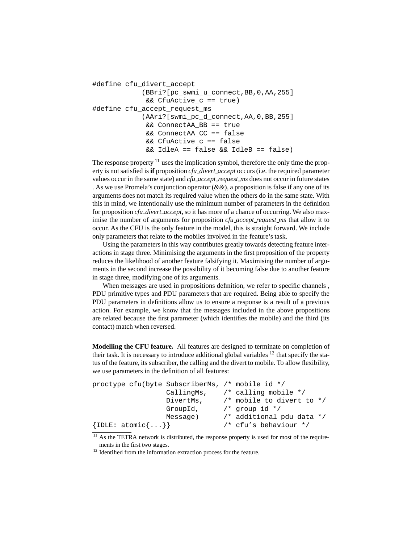```
#define cfu_divert_accept
            (BBri?[pc_swmi_u_connect,BB,0,AA,255]
             &&&CfuActive c == true)#define cfu_accept_request_ms
            (AAri?[swmi_pc_d_connect,AA,0,BB,255]
             && ConnectAA_BB == true
             && ConnectAA_CC == false
             && CfuActive_c == false
             && IdleA == false && IdleB == false)
```
The response property  $11$  uses the implication symbol, therefore the only time the property is not satisfied is **if** proposition *cfu divert accept* occurs (i.e. the required parameter values occur in the same state) and *cfu accept request ms* does not occur in future states . As we use Promela's conjunction operator  $(\&&$ ), a proposition is false if any one of its arguments does not match its required value when the others do in the same state. With this in mind, we intentionally use the minimum number of parameters in the definition for proposition *cfu divert accept*, so it has more of a chance of occurring. We also maximise the number of arguments for proposition *cfu accept* request *ms* that allow it to occur. As the CFU is the only feature in the model, this is straight forward. We include only parameters that relate to the mobiles involved in the feature's task.

Using the parameters in this way contributes greatly towards detecting feature interactions in stage three. Minimising the arguments in the first proposition of the property reduces the likelihood of another feature falsifying it. Maximising the number of arguments in the second increase the possibility of it becoming false due to another feature in stage three, modifying one of its arguments.

When messages are used in propositions definition, we refer to specific channels , PDU primitive types and PDU parameters that are required. Being able to specify the PDU parameters in definitions allow us to ensure a response is a result of a previous action. For example, we know that the messages included in the above propositions are related because the first parameter (which identifies the mobile) and the third (its contact) match when reversed.

**Modelling the CFU feature.** All features are designed to terminate on completion of their task. It is necessary to introduce additional global variables  $^{12}$  that specify the status of the feature, its subscriber, the calling and the divert to mobile. To allow flexibility, we use parameters in the definition of all features:

|                    | proctype cfu(byte SubscriberMs, /* mobile id */ |                             |  |
|--------------------|-------------------------------------------------|-----------------------------|--|
|                    | CallingMs,                                      | /* calling mobile */        |  |
|                    | DivertMs,                                       | /* mobile to divert to $*/$ |  |
|                    | GroupId,                                        | $/*$ qroup id */            |  |
|                    | Message)                                        | /* additional pdu data */   |  |
| ${IDLE: atomic{}}$ |                                                 | /* cfu's behaviour */       |  |

 $11$  As the TETRA network is distributed, the response property is used for most of the requirements in the first two stages.

<sup>&</sup>lt;sup>12</sup> Identified from the information extraction process for the feature.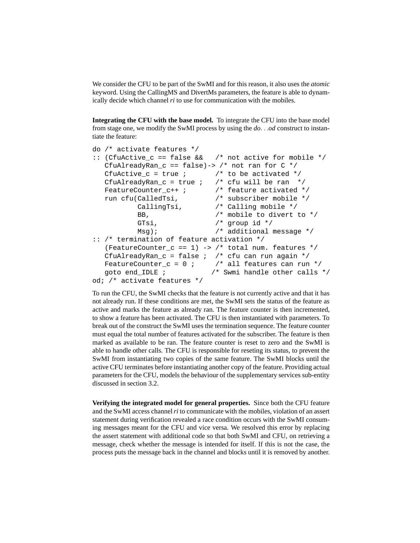We consider the CFU to be part of the SwMI and for this reason, it also uses the *atomic* keyword. Using the CallingMS and DivertMs parameters, the feature is able to dynamically decide which channel *ri* to use for communication with the mobiles.

**Integrating the CFU with the base model.** To integrate the CFU into the base model from stage one, we modify the SwMI process by using the *do*:::*od* construct to instantiate the feature:

```
do /* activate features */
:: (CfuActive c == false &  /* not active for mobile */
  CfuAlreadyRan c == false)-> /* not ran for C */
  CfuActive c = true ; /* to be activated */
  CfuAlreadyRan c = true ; /* cfu will be ran */
  FeatureCounter c++ ; /* feature activated */
  run cfu(CalledTsi, /* subscriber mobile */
          CallingTsi, /* Calling mobile */
          BB, \frac{1}{2} /* mobile to divert to */
          GTsi, /* group id */
          Msg); \frac{1}{2} /* additional message */
:: /* termination of feature activation */
  (FeatureCounter c == 1) -> /* total num. features */
  CfuAlreadyRan c = false ; /* cfu can run again */
  FeatureCounter c = 0 ; /* all features can run */
  goto end IDLE ; /* Swmi handle other calls */
od; /* activate features */
```
To run the CFU, the SwMI checks that the feature is not currently active and that it has not already run. If these conditions are met, the SwMI sets the status of the feature as active and marks the feature as already ran. The feature counter is then incremented, to show a feature has been activated. The CFU is then instantiated with parameters. To break out of the construct the SwMI uses the termination sequence. The feature counter must equal the total number of features activated for the subscriber. The feature is then marked as available to be ran. The feature counter is reset to zero and the SwMI is able to handle other calls. The CFU is responsible for reseting its status, to prevent the SwMI from instantiating two copies of the same feature. The SwMI blocks until the active CFU terminates before instantiating another copy of the feature. Providing actual parameters for the CFU, models the behaviour of the supplementary services sub-entity discussed in section 3.2.

**Verifying the integrated model for general properties.** Since both the CFU feature and the SwMI access channel*ri* to communicate with the mobiles, violation of an assert statement during verification revealed a race condition occurs with the SwMI consuming messages meant for the CFU and vice versa. We resolved this error by replacing the assert statement with additional code so that both SwMI and CFU, on retrieving a message, check whether the message is intended for itself. If this is not the case, the process puts the message back in the channel and blocks until it is removed by another.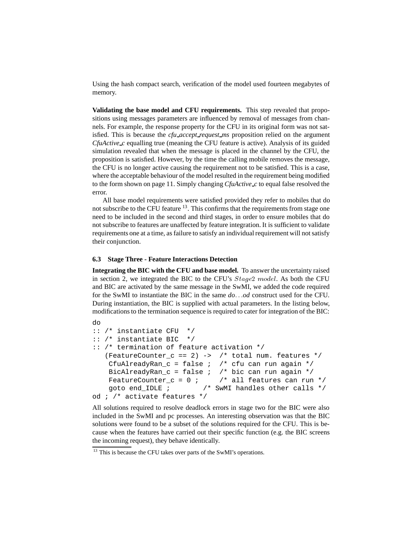Using the hash compact search, verification of the model used fourteen megabytes of memory.

**Validating the base model and CFU requirements.** This step revealed that propositions using messages parameters are influenced by removal of messages from channels. For example, the response property for the CFU in its original form was not satisfied. This is because the *cfu accept request ms* proposition relied on the argument *CfuActive\_c* equalling true (meaning the CFU feature is active). Analysis of its guided simulation revealed that when the message is placed in the channel by the CFU, the proposition is satisfied. However, by the time the calling mobile removes the message, the CFU is no longer active causing the requirement not to be satisfied. This is a case, where the acceptable behaviour of the model resulted in the requirement being modified to the form shown on page 11. Simply changing *CfuActive c* to equal false resolved the error.

All base model requirements were satisfied provided they refer to mobiles that do not subscribe to the CFU feature  $13$ . This confirms that the requirements from stage one need to be included in the second and third stages, in order to ensure mobiles that do not subscribe to features are unaffected by feature integration. It is sufficient to validate requirements one at a time, as failure to satisfy an individual requirement will not satisfy their conjunction.

## **6.3 Stage Three - Feature Interactions Detection**

**Integrating the BIC with the CFU and base model.** To answer the uncertainty raised in section 2, we integrated the BIC to the CFU's  $Stage2 \ model$ . As both the CFU and BIC are activated by the same message in the SwMI, we added the code required for the SwMI to instantiate the BIC in the same *do*:::*od* construct used for the CFU. During instantiation, the BIC is supplied with actual parameters. In the listing below, modifications to the termination sequence is required to cater for integration of the BIC:

```
do
:: /* instantiate CFU */
:: /* instantiate BIC */
:: /* termination of feature activation */
   (FeatureCounter c == 2) -> /* total num. features */
   CfuAlreadyRan c = false ; /* cfu can run again */
   BicAlreadyRan_c = false i /* bic can run again */
   FeatureCounter c = 0 ; /* all features can run */
   goto end_IDLE ; /* SwMI handles other calls */
od ; /* activate features */
```
All solutions required to resolve deadlock errors in stage two for the BIC were also included in the SwMI and pc processes. An interesting observation was that the BIC solutions were found to be a subset of the solutions required for the CFU. This is because when the features have carried out their specific function (e.g. the BIC screens the incoming request), they behave identically.

<sup>&</sup>lt;sup>13</sup> This is because the CFU takes over parts of the SwMI's operations.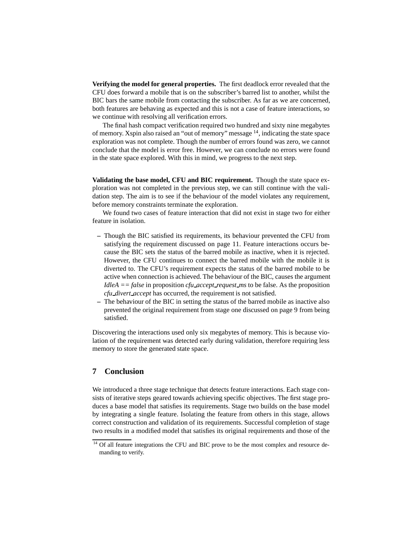**Verifying the model for general properties.** The first deadlock error revealed that the CFU does forward a mobile that is on the subscriber's barred list to another, whilst the BIC bars the same mobile from contacting the subscriber. As far as we are concerned, both features are behaving as expected and this is not a case of feature interactions, so we continue with resolving all verification errors.

The final hash compact verification required two hundred and sixty nine megabytes of memory. Xspin also raised an "out of memory" message 14, indicating the state space exploration was not complete. Though the number of errors found was zero, we cannot conclude that the model is error free. However, we can conclude no errors were found in the state space explored. With this in mind, we progress to the next step.

**Validating the base model, CFU and BIC requirement.** Though the state space exploration was not completed in the previous step, we can still continue with the validation step. The aim is to see if the behaviour of the model violates any requirement, before memory constraints terminate the exploration.

We found two cases of feature interaction that did not exist in stage two for either feature in isolation.

- **–** Though the BIC satisfied its requirements, its behaviour prevented the CFU from satisfying the requirement discussed on page 11. Feature interactions occurs because the BIC sets the status of the barred mobile as inactive, when it is rejected. However, the CFU continues to connect the barred mobile with the mobile it is diverted to. The CFU's requirement expects the status of the barred mobile to be active when connection is achieved. The behaviour of the BIC, causes the argument *IdleA*  $=$  *false* in proposition *cfu accept request ms* to be false. As the proposition *cfu divert accept* has occurred, the requirement is not satisfied.
- **–** The behaviour of the BIC in setting the status of the barred mobile as inactive also prevented the original requirement from stage one discussed on page 9 from being satisfied.

Discovering the interactions used only six megabytes of memory. This is because violation of the requirement was detected early during validation, therefore requiring less memory to store the generated state space.

## **7 Conclusion**

We introduced a three stage technique that detects feature interactions. Each stage consists of iterative steps geared towards achieving specific objectives. The first stage produces a base model that satisfies its requirements. Stage two builds on the base model by integrating a single feature. Isolating the feature from others in this stage, allows correct construction and validation of its requirements. Successful completion of stage two results in a modified model that satisfies its original requirements and those of the

<sup>&</sup>lt;sup>14</sup> Of all feature integrations the CFU and BIC prove to be the most complex and resource demanding to verify.